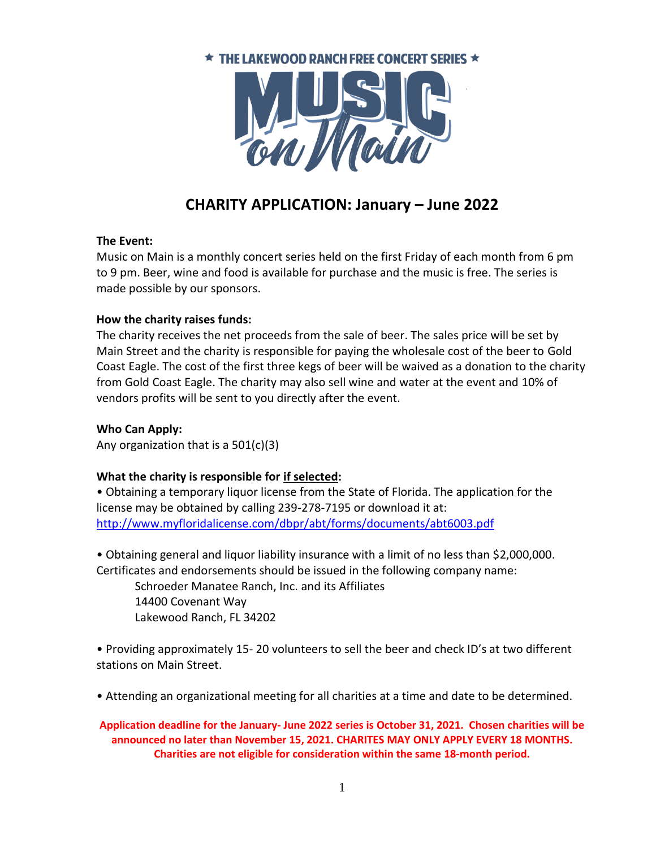

# **CHARITY APPLICATION: January – June 2022**

#### **The Event:**

Music on Main is a monthly concert series held on the first Friday of each month from 6 pm to 9 pm. Beer, wine and food is available for purchase and the music is free. The series is made possible by our sponsors.

#### **How the charity raises funds:**

The charity receives the net proceeds from the sale of beer. The sales price will be set by Main Street and the charity is responsible for paying the wholesale cost of the beer to Gold Coast Eagle. The cost of the first three kegs of beer will be waived as a donation to the charity from Gold Coast Eagle. The charity may also sell wine and water at the event and 10% of vendors profits will be sent to you directly after the event.

### **Who Can Apply:**

Any organization that is a 501(c)(3)

## **What the charity is responsible for if selected:**

• Obtaining a temporary liquor license from the State of Florida. The application for the license may be obtained by calling 239-278-7195 or download it at: <http://www.myfloridalicense.com/dbpr/abt/forms/documents/abt6003.pdf>

• Obtaining general and liquor liability insurance with a limit of no less than \$2,000,000. Certificates and endorsements should be issued in the following company name:

Schroeder Manatee Ranch, Inc. and its Affiliates 14400 Covenant Way Lakewood Ranch, FL 34202

• Providing approximately 15- 20 volunteers to sell the beer and check ID's at two different stations on Main Street.

• Attending an organizational meeting for all charities at a time and date to be determined.

**Application deadline for the January- June 2022 series is October 31, 2021. Chosen charities will be announced no later than November 15, 2021. CHARITES MAY ONLY APPLY EVERY 18 MONTHS. Charities are not eligible for consideration within the same 18-month period.**